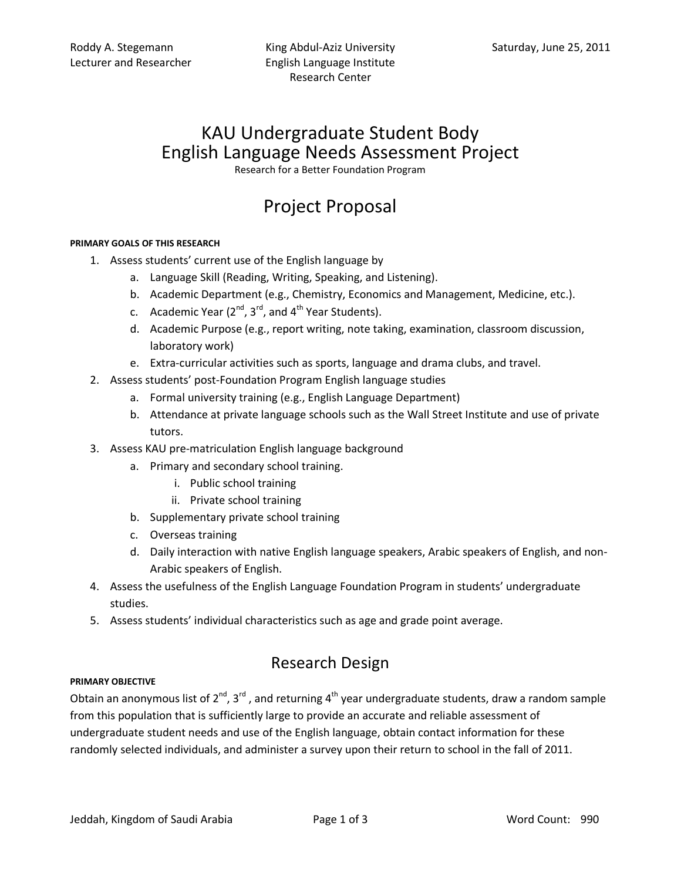## KAU Undergraduate Student Body English Language Needs Assessment Project

Research for a Better Foundation Program

# Project Proposal

#### **PRIMARY GOALS OF THIS RESEARCH**

- 1. Assess students' current use of the English language by
	- a. Language Skill (Reading, Writing, Speaking, and Listening).
	- b. Academic Department (e.g., Chemistry, Economics and Management, Medicine, etc.).
	- c. Academic Year  $(2^{nd}, 3^{rd},$  and  $4^{th}$  Year Students).
	- d. Academic Purpose (e.g., report writing, note taking, examination, classroom discussion, laboratory work)
	- e. Extra-curricular activities such as sports, language and drama clubs, and travel.
- 2. Assess students' post-Foundation Program English language studies
	- a. Formal university training (e.g., English Language Department)
	- b. Attendance at private language schools such as the Wall Street Institute and use of private tutors.
- 3. Assess KAU pre-matriculation English language background
	- a. Primary and secondary school training.
		- i. Public school training
		- ii. Private school training
	- b. Supplementary private school training
	- c. Overseas training
	- d. Daily interaction with native English language speakers, Arabic speakers of English, and non-Arabic speakers of English.
- 4. Assess the usefulness of the English Language Foundation Program in students' undergraduate studies.
- 5. Assess students' individual characteristics such as age and grade point average.

### Research Design

#### **PRIMARY OBJECTIVE**

Obtain an anonymous list of 2<sup>nd</sup>, 3<sup>rd</sup>, and returning 4<sup>th</sup> year undergraduate students, draw a random sample from this population that is sufficiently large to provide an accurate and reliable assessment of undergraduate student needs and use of the English language, obtain contact information for these randomly selected individuals, and administer a survey upon their return to school in the fall of 2011.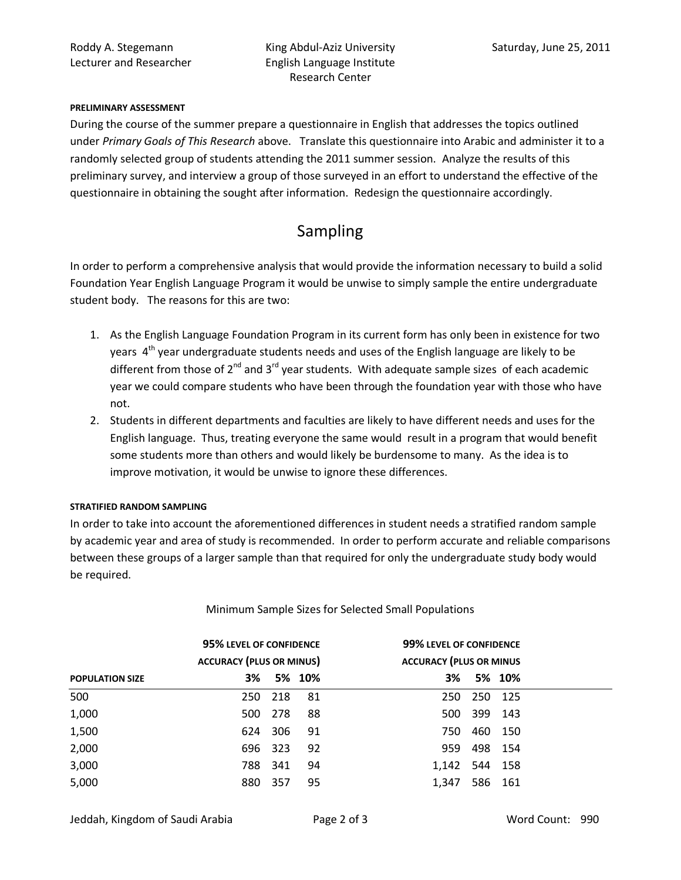#### **PRELIMINARY ASSESSMENT**

During the course of the summer prepare a questionnaire in English that addresses the topics outlined under *Primary Goals of This Research* above. Translate this questionnaire into Arabic and administer it to a randomly selected group of students attending the 2011 summer session. Analyze the results of this preliminary survey, and interview a group of those surveyed in an effort to understand the effective of the questionnaire in obtaining the sought after information. Redesign the questionnaire accordingly.

## Sampling

In order to perform a comprehensive analysis that would provide the information necessary to build a solid Foundation Year English Language Program it would be unwise to simply sample the entire undergraduate student body. The reasons for this are two:

- 1. As the English Language Foundation Program in its current form has only been in existence for two years  $4<sup>th</sup>$  year undergraduate students needs and uses of the English language are likely to be different from those of  $2^{nd}$  and  $3^{rd}$  year students. With adequate sample sizes of each academic year we could compare students who have been through the foundation year with those who have not.
- 2. Students in different departments and faculties are likely to have different needs and uses for the English language. Thus, treating everyone the same would result in a program that would benefit some students more than others and would likely be burdensome to many. As the idea is to improve motivation, it would be unwise to ignore these differences.

#### **STRATIFIED RANDOM SAMPLING**

In order to take into account the aforementioned differences in student needs a stratified random sample by academic year and area of study is recommended. In order to perform accurate and reliable comparisons between these groups of a larger sample than that required for only the undergraduate study body would be required.

|                        | 95% LEVEL OF CONFIDENCE         |         |        | 99% LEVEL OF CONFIDENCE |                                |         |  |
|------------------------|---------------------------------|---------|--------|-------------------------|--------------------------------|---------|--|
|                        | <b>ACCURACY (PLUS OR MINUS)</b> |         |        |                         | <b>ACCURACY (PLUS OR MINUS</b> |         |  |
| <b>POPULATION SIZE</b> | 3%                              |         | 5% 10% | 3%                      |                                | 5% 10%  |  |
| 500                    |                                 | 250 218 | - 81   | 250                     | 250 125                        |         |  |
| 1,000                  |                                 | 500 278 | 88     | 500                     | 399 143                        |         |  |
| 1,500                  |                                 | 624 306 | 91     | 750                     |                                | 460 150 |  |
| 2,000                  |                                 | 696 323 | 92     | 959                     | 498 154                        |         |  |
| 3,000                  |                                 | 788 341 | 94     | 1,142                   | 544 158                        |         |  |
| 5,000                  | 880                             | 357     | 95     | 1,347                   |                                | 586 161 |  |

#### Minimum Sample Sizes for Selected Small Populations